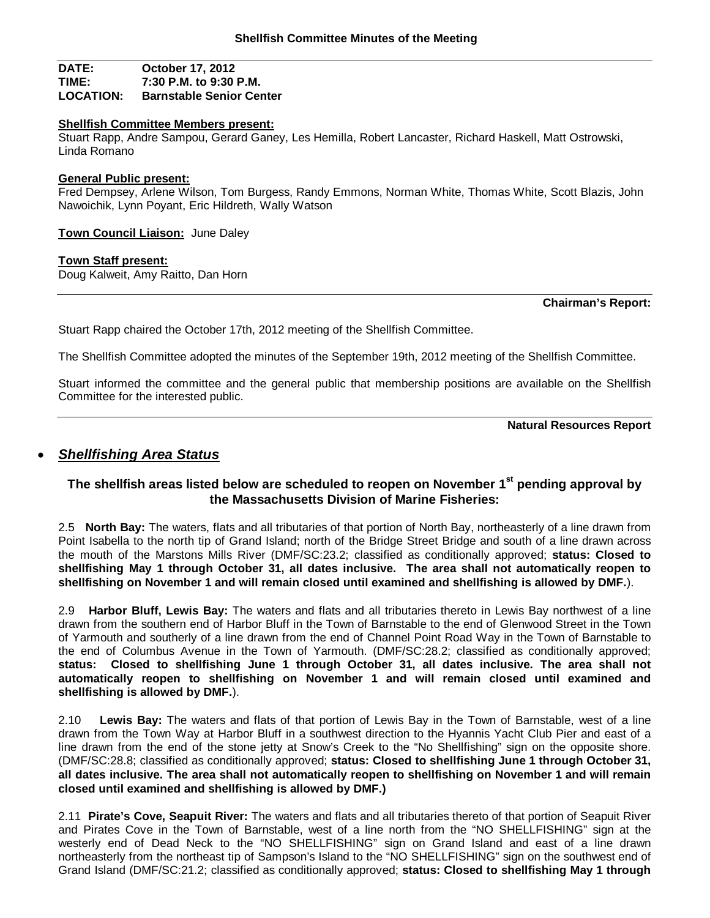#### **DATE: October 17, 2012 TIME: 7:30 P.M. to 9:30 P.M. Barnstable Senior Center**

#### **Shellfish Committee Members present:**

Stuart Rapp, Andre Sampou, Gerard Ganey, Les Hemilla, Robert Lancaster, Richard Haskell, Matt Ostrowski, Linda Romano

#### **General Public present:**

Fred Dempsey, Arlene Wilson, Tom Burgess, Randy Emmons, Norman White, Thomas White, Scott Blazis, John Nawoichik, Lynn Poyant, Eric Hildreth, Wally Watson

**Town Council Liaison:** June Daley

#### **Town Staff present:**

Doug Kalweit, Amy Raitto, Dan Horn

#### **Chairman's Report:**

Stuart Rapp chaired the October 17th, 2012 meeting of the Shellfish Committee.

The Shellfish Committee adopted the minutes of the September 19th, 2012 meeting of the Shellfish Committee.

Stuart informed the committee and the general public that membership positions are available on the Shellfish Committee for the interested public.

**Natural Resources Report**

## *Shellfishing Area Status*

## **The shellfish areas listed below are scheduled to reopen on November 1st pending approval by the Massachusetts Division of Marine Fisheries:**

2.5 **North Bay:** The waters, flats and all tributaries of that portion of North Bay, northeasterly of a line drawn from Point Isabella to the north tip of Grand Island; north of the Bridge Street Bridge and south of a line drawn across the mouth of the Marstons Mills River (DMF/SC:23.2; classified as conditionally approved; **status: Closed to shellfishing May 1 through October 31, all dates inclusive. The area shall not automatically reopen to shellfishing on November 1 and will remain closed until examined and shellfishing is allowed by DMF.**).

2.9 **Harbor Bluff, Lewis Bay:** The waters and flats and all tributaries thereto in Lewis Bay northwest of a line drawn from the southern end of Harbor Bluff in the Town of Barnstable to the end of Glenwood Street in the Town of Yarmouth and southerly of a line drawn from the end of Channel Point Road Way in the Town of Barnstable to the end of Columbus Avenue in the Town of Yarmouth. (DMF/SC:28.2; classified as conditionally approved; **status: Closed to shellfishing June 1 through October 31, all dates inclusive. The area shall not automatically reopen to shellfishing on November 1 and will remain closed until examined and shellfishing is allowed by DMF.**).

2.10 **Lewis Bay:** The waters and flats of that portion of Lewis Bay in the Town of Barnstable, west of a line drawn from the Town Way at Harbor Bluff in a southwest direction to the Hyannis Yacht Club Pier and east of a line drawn from the end of the stone jetty at Snow's Creek to the "No Shellfishing" sign on the opposite shore. (DMF/SC:28.8; classified as conditionally approved; **status: Closed to shellfishing June 1 through October 31, all dates inclusive. The area shall not automatically reopen to shellfishing on November 1 and will remain closed until examined and shellfishing is allowed by DMF.)**

2.11 **Pirate's Cove, Seapuit River:** The waters and flats and all tributaries thereto of that portion of Seapuit River and Pirates Cove in the Town of Barnstable, west of a line north from the "NO SHELLFISHING" sign at the westerly end of Dead Neck to the "NO SHELLFISHING" sign on Grand Island and east of a line drawn northeasterly from the northeast tip of Sampson's Island to the "NO SHELLFISHING" sign on the southwest end of Grand Island (DMF/SC:21.2; classified as conditionally approved; **status: Closed to shellfishing May 1 through**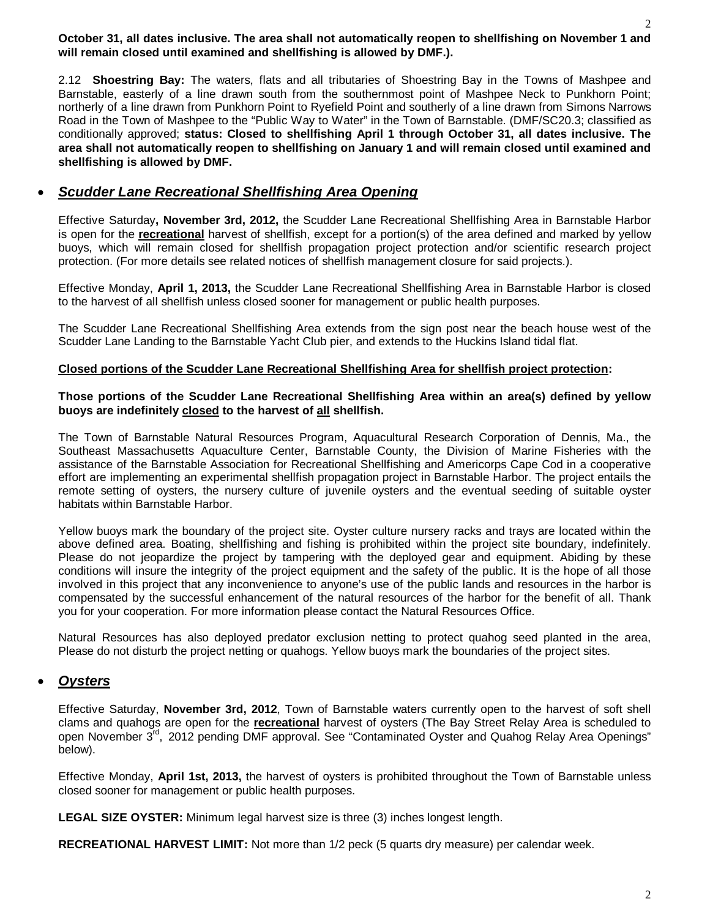#### 2 **October 31, all dates inclusive. The area shall not automatically reopen to shellfishing on November 1 and will remain closed until examined and shellfishing is allowed by DMF.).**

2.12 **Shoestring Bay:** The waters, flats and all tributaries of Shoestring Bay in the Towns of Mashpee and Barnstable, easterly of a line drawn south from the southernmost point of Mashpee Neck to Punkhorn Point; northerly of a line drawn from Punkhorn Point to Ryefield Point and southerly of a line drawn from Simons Narrows Road in the Town of Mashpee to the "Public Way to Water" in the Town of Barnstable. (DMF/SC20.3; classified as conditionally approved; **status: Closed to shellfishing April 1 through October 31, all dates inclusive. The area shall not automatically reopen to shellfishing on January 1 and will remain closed until examined and shellfishing is allowed by DMF.**

# *Scudder Lane Recreational Shellfishing Area Opening*

Effective Saturday**, November 3rd, 2012,** the Scudder Lane Recreational Shellfishing Area in Barnstable Harbor is open for the **recreational** harvest of shellfish, except for a portion(s) of the area defined and marked by yellow buoys, which will remain closed for shellfish propagation project protection and/or scientific research project protection. (For more details see related notices of shellfish management closure for said projects.).

Effective Monday, **April 1, 2013,** the Scudder Lane Recreational Shellfishing Area in Barnstable Harbor is closed to the harvest of all shellfish unless closed sooner for management or public health purposes.

The Scudder Lane Recreational Shellfishing Area extends from the sign post near the beach house west of the Scudder Lane Landing to the Barnstable Yacht Club pier, and extends to the Huckins Island tidal flat.

## **Closed portions of the Scudder Lane Recreational Shellfishing Area for shellfish project protection:**

### **Those portions of the Scudder Lane Recreational Shellfishing Area within an area(s) defined by yellow buoys are indefinitely closed to the harvest of all shellfish.**

The Town of Barnstable Natural Resources Program, Aquacultural Research Corporation of Dennis, Ma., the Southeast Massachusetts Aquaculture Center, Barnstable County, the Division of Marine Fisheries with the assistance of the Barnstable Association for Recreational Shellfishing and Americorps Cape Cod in a cooperative effort are implementing an experimental shellfish propagation project in Barnstable Harbor. The project entails the remote setting of oysters, the nursery culture of juvenile oysters and the eventual seeding of suitable oyster habitats within Barnstable Harbor.

Yellow buoys mark the boundary of the project site. Oyster culture nursery racks and trays are located within the above defined area. Boating, shellfishing and fishing is prohibited within the project site boundary, indefinitely. Please do not jeopardize the project by tampering with the deployed gear and equipment. Abiding by these conditions will insure the integrity of the project equipment and the safety of the public. It is the hope of all those involved in this project that any inconvenience to anyone's use of the public lands and resources in the harbor is compensated by the successful enhancement of the natural resources of the harbor for the benefit of all. Thank you for your cooperation. For more information please contact the Natural Resources Office.

Natural Resources has also deployed predator exclusion netting to protect quahog seed planted in the area, Please do not disturb the project netting or quahogs. Yellow buoys mark the boundaries of the project sites.

# *Oysters*

Effective Saturday, **November 3rd, 2012**, Town of Barnstable waters currently open to the harvest of soft shell clams and quahogs are open for the **recreational** harvest of oysters (The Bay Street Relay Area is scheduled to open November 3<sup>rd</sup>, 2012 pending DMF approval. See "Contaminated Oyster and Quahog Relay Area Openings" below).

Effective Monday, **April 1st, 2013,** the harvest of oysters is prohibited throughout the Town of Barnstable unless closed sooner for management or public health purposes.

**LEGAL SIZE OYSTER:** Minimum legal harvest size is three (3) inches longest length.

**RECREATIONAL HARVEST LIMIT:** Not more than 1/2 peck (5 quarts dry measure) per calendar week.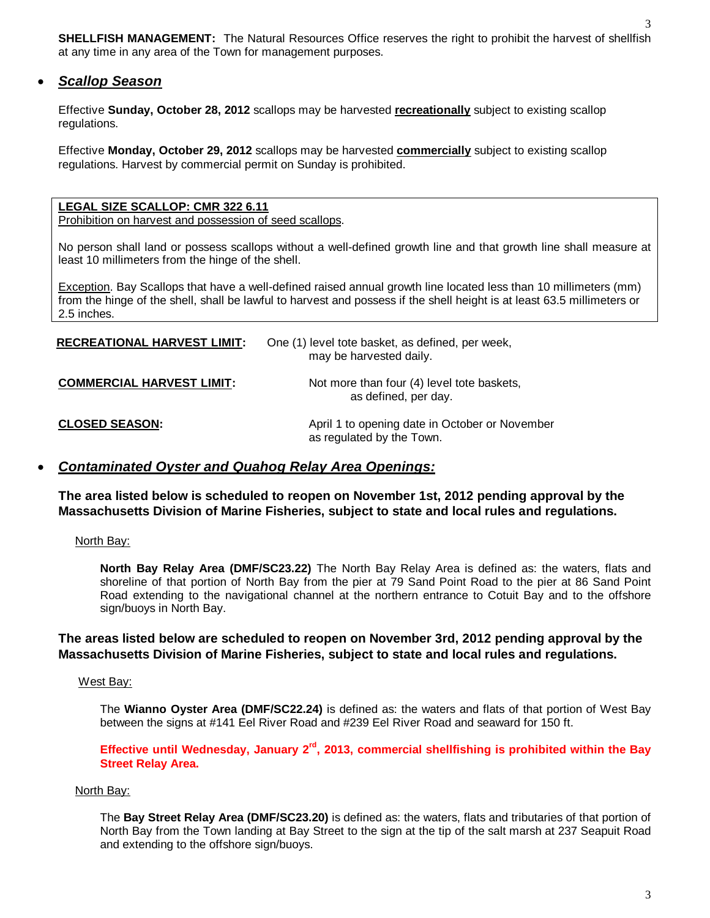**SHELLFISH MANAGEMENT:** The Natural Resources Office reserves the right to prohibit the harvest of shellfish at any time in any area of the Town for management purposes.

## *Scallop Season*

Effective **Sunday, October 28, 2012** scallops may be harvested **recreationally** subject to existing scallop regulations.

Effective **Monday, October 29, 2012** scallops may be harvested **commercially** subject to existing scallop regulations. Harvest by commercial permit on Sunday is prohibited.

### **LEGAL SIZE SCALLOP: CMR 322 6.11**

Prohibition on harvest and possession of seed scallops.

No person shall land or possess scallops without a well-defined growth line and that growth line shall measure at least 10 millimeters from the hinge of the shell.

Exception. Bay Scallops that have a well-defined raised annual growth line located less than 10 millimeters (mm) from the hinge of the shell, shall be lawful to harvest and possess if the shell height is at least 63.5 millimeters or 2.5 inches.

| <b>RECREATIONAL HARVEST LIMIT:</b> | One (1) level tote basket, as defined, per week,<br>may be harvested daily. |
|------------------------------------|-----------------------------------------------------------------------------|
| <b>COMMERCIAL HARVEST LIMIT:</b>   | Not more than four (4) level tote baskets,<br>as defined, per day.          |
| <b>CLOSED SEASON:</b>              | April 1 to opening date in October or November<br>as regulated by the Town. |

## *Contaminated Oyster and Quahog Relay Area Openings:*

**The area listed below is scheduled to reopen on November 1st, 2012 pending approval by the Massachusetts Division of Marine Fisheries, subject to state and local rules and regulations.**

North Bay:

**North Bay Relay Area (DMF/SC23.22)** The North Bay Relay Area is defined as: the waters, flats and shoreline of that portion of North Bay from the pier at 79 Sand Point Road to the pier at 86 Sand Point Road extending to the navigational channel at the northern entrance to Cotuit Bay and to the offshore sign/buoys in North Bay.

### **The areas listed below are scheduled to reopen on November 3rd, 2012 pending approval by the Massachusetts Division of Marine Fisheries, subject to state and local rules and regulations.**

West Bay:

The **Wianno Oyster Area (DMF/SC22.24)** is defined as: the waters and flats of that portion of West Bay between the signs at #141 Eel River Road and #239 Eel River Road and seaward for 150 ft.

**Effective until Wednesday, January 2rd, 2013, commercial shellfishing is prohibited within the Bay Street Relay Area.**

### North Bay:

The **Bay Street Relay Area (DMF/SC23.20)** is defined as: the waters, flats and tributaries of that portion of North Bay from the Town landing at Bay Street to the sign at the tip of the salt marsh at 237 Seapuit Road and extending to the offshore sign/buoys.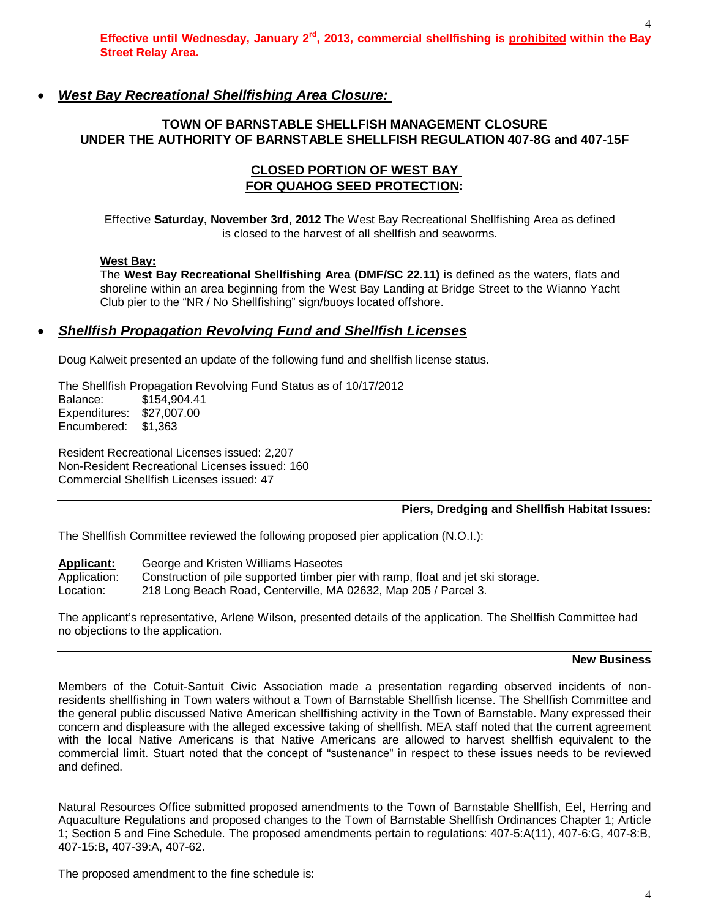# *West Bay Recreational Shellfishing Area Closure:*

# **TOWN OF BARNSTABLE SHELLFISH MANAGEMENT CLOSURE UNDER THE AUTHORITY OF BARNSTABLE SHELLFISH REGULATION 407-8G and 407-15F**

## **CLOSED PORTION OF WEST BAY FOR QUAHOG SEED PROTECTION:**

Effective **Saturday, November 3rd, 2012** The West Bay Recreational Shellfishing Area as defined is closed to the harvest of all shellfish and seaworms.

## **West Bay:**

The **West Bay Recreational Shellfishing Area (DMF/SC 22.11)** is defined as the waters, flats and shoreline within an area beginning from the West Bay Landing at Bridge Street to the Wianno Yacht Club pier to the "NR / No Shellfishing" sign/buoys located offshore.

# *Shellfish Propagation Revolving Fund and Shellfish Licenses*

Doug Kalweit presented an update of the following fund and shellfish license status.

The Shellfish Propagation Revolving Fund Status as of 10/17/2012 Balance: \$154,904.41 Expenditures: \$27,007.00 Encumbered: \$1,363

Resident Recreational Licenses issued: 2,207 Non-Resident Recreational Licenses issued: 160 Commercial Shellfish Licenses issued: 47

### **Piers, Dredging and Shellfish Habitat Issues:**

The Shellfish Committee reviewed the following proposed pier application (N.O.I.):

**Applicant:** George and Kristen Williams Haseotes

Application: Construction of pile supported timber pier with ramp, float and jet ski storage.

Location: 218 Long Beach Road, Centerville, MA 02632, Map 205 / Parcel 3.

The applicant's representative, Arlene Wilson, presented details of the application. The Shellfish Committee had no objections to the application.

#### **New Business**

Members of the Cotuit-Santuit Civic Association made a presentation regarding observed incidents of nonresidents shellfishing in Town waters without a Town of Barnstable Shellfish license. The Shellfish Committee and the general public discussed Native American shellfishing activity in the Town of Barnstable. Many expressed their concern and displeasure with the alleged excessive taking of shellfish. MEA staff noted that the current agreement with the local Native Americans is that Native Americans are allowed to harvest shellfish equivalent to the commercial limit. Stuart noted that the concept of "sustenance" in respect to these issues needs to be reviewed and defined.

Natural Resources Office submitted proposed amendments to the Town of Barnstable Shellfish, Eel, Herring and Aquaculture Regulations and proposed changes to the Town of Barnstable Shellfish Ordinances Chapter 1; Article 1; Section 5 and Fine Schedule. The proposed amendments pertain to regulations: 407-5:A(11), 407-6:G, 407-8:B, 407-15:B, 407-39:A, 407-62.

The proposed amendment to the fine schedule is: